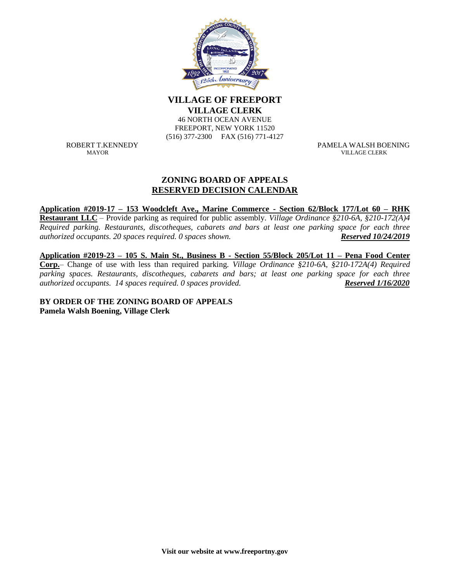

**VILLAGE OF FREEPORT VILLAGE OF VILLAGE CLERK** 

**46 NORTH OCEAN AVENUE** FREEPORT, NEW YORK 11520 (516) 377-2300 FAX (516) 771-4127

ROBERT T.KENNEDY PAMELA WALSH BOENING VILLAGE CLERK

## **ZONING BOARD OF APPEALS RESERVED DECISION CALENDAR**

**Application #2019-17 – 153 Woodcleft Ave., Marine Commerce - Section 62/Block 177/Lot 60 – RHK Restaurant LLC** – Provide parking as required for public assembly. *Village Ordinance §210-6A, §210-172(A)4 Required parking. Restaurants, discotheques, cabarets and bars at least one parking space for each three authorized occupants. 20 spaces required. 0 spaces shown. Reserved 10/24/2019*

**Application #2019-23 – 105 S. Main St., Business B - Section 55/Block 205/Lot 11 – Pena Food Center Corp.**– Change of use with less than required parking. *Village Ordinance §210-6A, §210-172A(4) Required parking spaces. Restaurants, discotheques, cabarets and bars; at least one parking space for each three authorized occupants. 14 spaces required. 0 spaces provided. Reserved 1/16/2020*

**BY ORDER OF THE ZONING BOARD OF APPEALS Pamela Walsh Boening, Village Clerk**